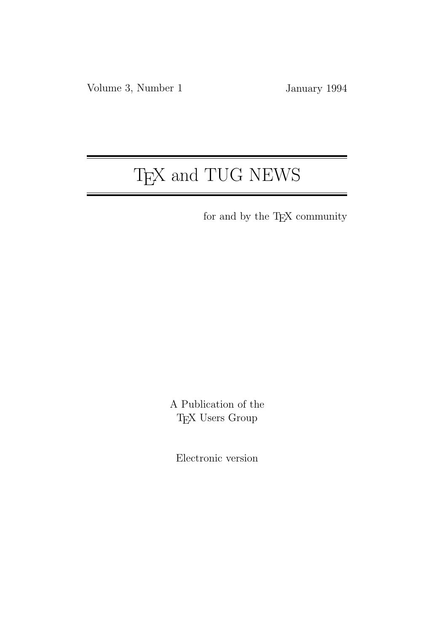# T<sub>E</sub>X and TUG NEWS

for and by the TEX community

A Publication of the T<sub>E</sub>X Users Group

Electronic version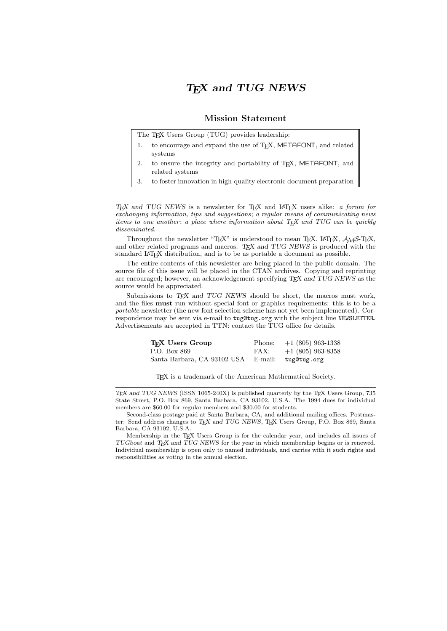### T<sub>F</sub>X and TUG NEWS

### Mission Statement

The T<sub>EX</sub> Users Group (TUG) provides leadership:

- 1. to encourage and expand the use of T<sub>E</sub>X, METAFONT, and related systems
- 2. to ensure the integrity and portability of T<sub>E</sub>X, METAFONT, and related systems
- 3. to foster innovation in high-quality electronic document preparation

TEX and TUG NEWS is a newsletter for TEX and IATEX users alike: a forum for exchanging information, tips and suggestions; a regular means of communicating news items to one another; a place where information about  $T_F X$  and  $T U G$  can be quickly disseminated.

Throughout the newsletter "TEX" is understood to mean TEX, LATEX,  $A\mathcal{M}S$ -TEX, and other related programs and macros. TEX and TUG NEWS is produced with the standard LATEX distribution, and is to be as portable a document as possible.

The entire contents of this newsletter are being placed in the public domain. The source file of this issue will be placed in the CTAN archives. Copying and reprinting are encouraged; however, an acknowledgement specifying TEX and TUG NEWS as the source would be appreciated.

Submissions to  $T_F X$  and  $T U G$  NEWS should be short, the macros must work, and the files must run without special font or graphics requirements: this is to be a portable newsletter (the new font selection scheme has not yet been implemented). Correspondence may be sent via e-mail to tug@tug.org with the subject line NEWSLETTER. Advertisements are accepted in TTN: contact the TUG office for details.

| T <sub>F</sub> X Users Group | Phone: | $+1$ (805) 963-1338 |
|------------------------------|--------|---------------------|
| P.O. Box 869                 | FAX:   | $+1$ (805) 963-8358 |
| Santa Barbara, CA 93102 USA  |        | E-mail: tug@tug.org |

TEX is a trademark of the American Mathematical Society.

 $T_{F}X$  and TUG NEWS (ISSN 1065-240X) is published quarterly by the T<sub>F</sub>X Users Group, 735 State Street, P.O. Box 869, Santa Barbara, CA 93102, U.S.A. The 1994 dues for individual members are \$60.00 for regular members and \$30.00 for students.

Second-class postage paid at Santa Barbara, CA, and additional mailing offices. Postmaster: Send address changes to TEX and TUG NEWS, TEX Users Group, P.O. Box 869, Santa Barbara, CA 93102, U.S.A.

Membership in the T<sub>E</sub>X Users Group is for the calendar year, and includes all issues of TUGboat and TEX and TUG NEWS for the year in which membership begins or is renewed. Individual membership is open only to named individuals, and carries with it such rights and responsibilities as voting in the annual election.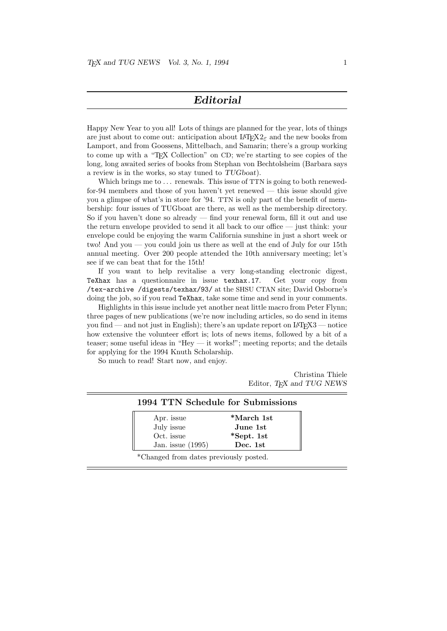### Editorial

Happy New Year to you all! Lots of things are planned for the year, lots of things are just about to come out: anticipation about  $\text{LATEX2}_{\epsilon}$  and the new books from Lamport, and from Goossens, Mittelbach, and Samarin; there's a group working to come up with a "T<sub>EX</sub> Collection" on CD; we're starting to see copies of the long, long awaited series of books from Stephan von Bechtolsheim (Barbara says a review is in the works, so stay tuned to TUGboat).

Which brings me to ... renewals. This issue of TTN is going to both renewedfor-94 members and those of you haven't yet renewed — this issue should give you a glimpse of what's in store for '94. TTN is only part of the benefit of membership: four issues of TUGboat are there, as well as the membership directory. So if you haven't done so already — find your renewal form, fill it out and use the return envelope provided to send it all back to our office — just think: your envelope could be enjoying the warm California sunshine in just a short week or two! And you — you could join us there as well at the end of July for our 15th annual meeting. Over 200 people attended the 10th anniversary meeting; let's see if we can beat that for the 15th!

If you want to help revitalise a very long-standing electronic digest, TeXhax has a questionnaire in issue texhax.17. Get your copy from /tex-archive /digests/texhax/93/ at the SHSU CTAN site; David Osborne's doing the job, so if you read TeXhax, take some time and send in your comments.

Highlights in this issue include yet another neat little macro from Peter Flynn; three pages of new publications (we're now including articles, so do send in items you find — and not just in English); there's an update report on  $\text{LATEX3}$  — notice how extensive the volunteer effort is; lots of news items, followed by a bit of a teaser; some useful ideas in "Hey — it works!"; meeting reports; and the details for applying for the 1994 Knuth Scholarship.

So much to read! Start now, and enjoy.

Christina Thiele Editor, TEX and TUG NEWS

#### 1994 TTN Schedule for Submissions

| Apr. issue          | *March 1st |  |
|---------------------|------------|--|
| July issue          | June 1st   |  |
| Oct. issue          | *Sept. 1st |  |
| Jan. issue $(1995)$ | Dec. 1st   |  |

\*Changed from dates previously posted.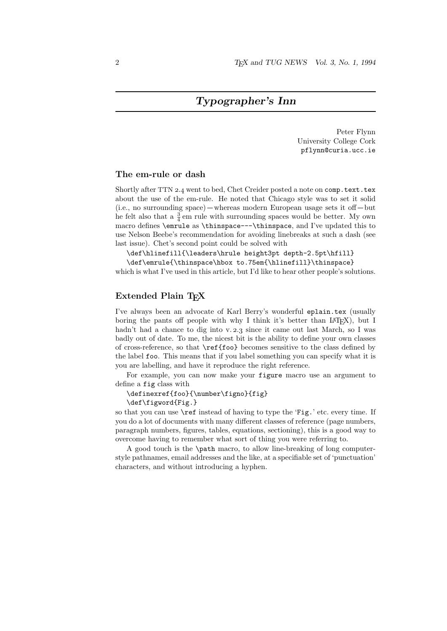### Typographer's Inn

Peter Flynn University College Cork pflynn@curia.ucc.ie

### The em-rule or dash

Shortly after TTN 2.4 went to bed, Chet Creider posted a note on comp.text.tex about the use of the em-rule. He noted that Chicago style was to set it solid  $(i.e., no surrounding space) - whereas modern European usage sets it off - but$ he felt also that a  $\frac{3}{4}$  em rule with surrounding spaces would be better. My own macro defines \emrule as \thinspace---\thinspace, and I've updated this to use Nelson Beebe's recommendation for avoiding linebreaks at such a dash (see last issue). Chet's second point could be solved with

\def\hlinefill{\leaders\hrule height3pt depth-2.5pt\hfill}

\def\emrule{\thinspace\hbox to.75em{\hlinefill}\thinspace} which is what I've used in this article, but I'd like to hear other people's solutions.

### Extended Plain T<sub>F</sub>X

I've always been an advocate of Karl Berry's wonderful eplain.tex (usually boring the pants off people with why I think it's better than IAT<sub>EX</sub>), but I hadn't had a chance to dig into v.  $2.3$  since it came out last March, so I was badly out of date. To me, the nicest bit is the ability to define your own classes of cross-reference, so that \ref{foo} becomes sensitive to the class defined by the label foo. This means that if you label something you can specify what it is you are labelling, and have it reproduce the right reference.

For example, you can now make your figure macro use an argument to define a fig class with

\definexref{foo}{\number\figno}{fig} \def\figword{Fig.}

so that you can use \ref instead of having to type the 'Fig.' etc. every time. If you do a lot of documents with many different classes of reference (page numbers, paragraph numbers, figures, tables, equations, sectioning), this is a good way to overcome having to remember what sort of thing you were referring to.

A good touch is the \path macro, to allow line-breaking of long computerstyle pathnames, email addresses and the like, at a specifiable set of 'punctuation' characters, and without introducing a hyphen.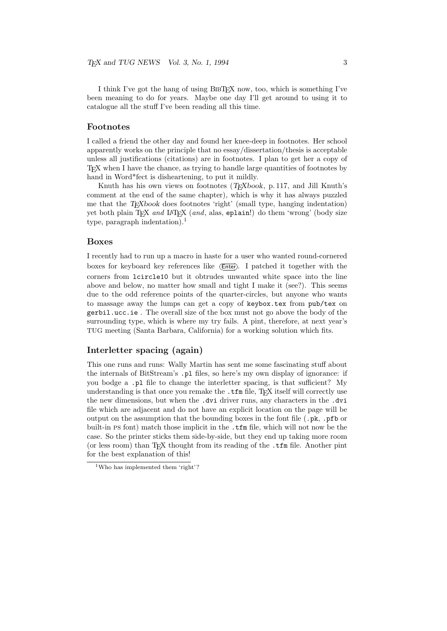I think I've got the hang of using BIBT<sub>EX</sub> now, too, which is something I've been meaning to do for years. Maybe one day I'll get around to using it to catalogue all the stuff I've been reading all this time.

### Footnotes

I called a friend the other day and found her knee-deep in footnotes. Her school apparently works on the principle that no essay/dissertation/thesis is acceptable unless all justifications (citations) are in footnotes. I plan to get her a copy of TEX when I have the chance, as trying to handle large quantities of footnotes by hand in Word\*fect is disheartening, to put it mildly.

Knuth has his own views on footnotes  $(T\ddot{E}Xbook, p. 117, and Jill Knuth's)$ comment at the end of the same chapter), which is why it has always puzzled me that the  $T_{F}X$ book does footnotes 'right' (small type, hanging indentation) yet both plain TEX and LATEX (and, alas, eplain!) do them 'wrong' (body size type, paragraph indentation).<sup>1</sup>

### Boxes

I recently had to run up a macro in haste for a user who wanted round-cornered boxes for keyboard key references like (Enter). I patched it together with the corners from lcircle10 but it obtrudes unwanted white space into the line above and below, no matter how small and tight I make it (see?). This seems due to the odd reference points of the quarter-circles, but anyone who wants to massage away the lumps can get a copy of keybox.tex from pub/tex on gerbil.ucc.ie . The overall size of the box must not go above the body of the surrounding type, which is where my try fails. A pint, therefore, at next year's TUG meeting (Santa Barbara, California) for a working solution which fits.

### Interletter spacing (again)

This one runs and runs: Wally Martin has sent me some fascinating stuff about the internals of BitStream's .pl files, so here's my own display of ignorance: if you bodge a .pl file to change the interletter spacing, is that sufficient? My understanding is that once you remake the .tfm file, T<sub>E</sub>X itself will correctly use the new dimensions, but when the .dvi driver runs, any characters in the .dvi file which are adjacent and do not have an explicit location on the page will be output on the assumption that the bounding boxes in the font file  $(.\mathsf{pk}.\mathsf{pfb} \text{ or }$ built-in ps font) match those implicit in the .tfm file, which will not now be the case. So the printer sticks them side-by-side, but they end up taking more room (or less room) than TEX thought from its reading of the .tfm file. Another pint for the best explanation of this!

<sup>&</sup>lt;sup>1</sup>Who has implemented them 'right'?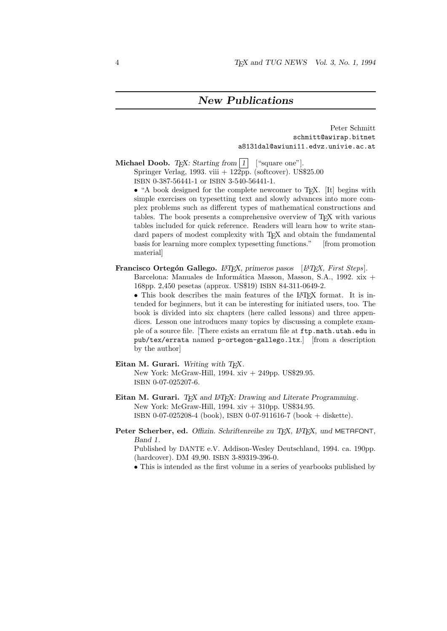### New Publications

Peter Schmitt schmitt@awirap.bitnet a8131dal@awiuni11.edvz.univie.ac.at

Michael Doob. T<sub>F</sub>X: Starting from  $|1|$  ["square one"].

Springer Verlag, 1993. viii  $+$  122pp. (softcover). US\$25.00 ISBN 0-387-56441-1 or ISBN 3-540-56441-1.

• "A book designed for the complete newcomer to T<sub>E</sub>X. [It] begins with simple exercises on typesetting text and slowly advances into more complex problems such as different types of mathematical constructions and tables. The book presents a comprehensive overview of TEX with various tables included for quick reference. Readers will learn how to write standard papers of modest complexity with T<sub>E</sub>X and obtain the fundamental<br>basis for learning more complex typesetting functions." [from promotion basis for learning more complex typesetting functions." material]

### Francisco Ortegón Gallego.  $\mu$ T<sub>E</sub>X, primeros pasos [ $\mu$ T<sub>E</sub>X, First Steps].

Barcelona: Manuales de Informática Masson, Masson, S.A., 1992. xix + 168pp. 2,450 pesetas (approx. US\$19) ISBN 84-311-0649-2.

• This book describes the main features of the LAT<sub>EX</sub> format. It is intended for beginners, but it can be interesting for initiated users, too. The book is divided into six chapters (here called lessons) and three appendices. Lesson one introduces many topics by discussing a complete example of a source file. [There exists an erratum file at ftp.math.utah.edu in pub/tex/errata named p-ortegon-gallego.ltx.] [from a description by the author]

### Eitan M. Gurari. Writing with TEX.

New York: McGraw-Hill, 1994. xiv + 249pp. US\$29.95. ISBN 0-07-025207-6.

- Eitan M. Gurari. TEX and L<sup>AT</sup>EX: Drawing and Literate Programming. New York: McGraw-Hill, 1994. xiv + 310pp. US\$34.95. ISBN 0-07-025208-4 (book), ISBN 0-07-911616-7 (book + diskette).
- Peter Scherber, ed. Offizin. Schriftenreihe zu TEX, L<sup>AT</sup>EX, und METAFONT, Band 1.

Published by DANTE e.V. Addison-Wesley Deutschland, 1994. ca. 190pp. (hardcover). DM 49,90. ISBN 3-89319-396-0.

• This is intended as the first volume in a series of yearbooks published by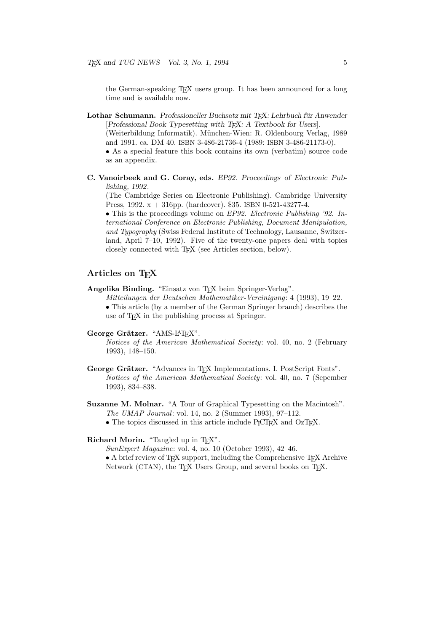the German-speaking T<sub>EX</sub> users group. It has been announced for a long time and is available now.

- Lothar Schumann. Professioneller Buchsatz mit TEX: Lehrbuch für Anwender [Professional Book Typesetting with TEX: A Textbook for Users]. (Weiterbildung Informatik). M¨unchen-Wien: R. Oldenbourg Verlag, 1989 and 1991. ca. DM 40. ISBN 3-486-21736-4 (1989: ISBN 3-486-21173-0). • As a special feature this book contains its own (verbatim) source code as an appendix.
- C. Vanoirbeek and G. Coray, eds. EP92. Proceedings of Electronic Publishing, 1992.

(The Cambridge Series on Electronic Publishing). Cambridge University Press, 1992. x + 316pp. (hardcover). \$35. ISBN 0-521-43277-4.

• This is the proceedings volume on EP92. Electronic Publishing '92. International Conference on Electronic Publishing, Document Manipulation, and Typography (Swiss Federal Institute of Technology, Lausanne, Switzerland, April 7–10, 1992). Five of the twenty-one papers deal with topics closely connected with TEX (see Articles section, below).

### Articles on T<sub>E</sub>X

Angelika Binding. "Einsatz von TEX beim Springer-Verlag".

Mitteilungen der Deutschen Mathematiker-Vereinigung: 4 (1993), 19–22.

• This article (by a member of the German Springer branch) describes the use of T<sub>F</sub>X in the publishing process at Springer.

George Grätzer. "AMS-LATFX".

Notices of the American Mathematical Society: vol. 40, no. 2 (February 1993), 148–150.

- George Grätzer. "Advances in TEX Implementations. I. PostScript Fonts". Notices of the American Mathematical Society: vol. 40, no. 7 (Sepember 1993), 834–838.
- Suzanne M. Molnar. "A Tour of Graphical Typesetting on the Macintosh". The UMAP Journal: vol. 14, no. 2 (Summer 1993), 97–112.
	- The topics discussed in this article include PJCTFX and OzTFX.

### Richard Morin. "Tangled up in T<sub>E</sub>X".

SunExpert Magazine: vol. 4, no. 10 (October 1993), 42–46.

 $\bullet$  A brief review of T<sub>E</sub>X support, including the Comprehensive T<sub>E</sub>X Archive Network (CTAN), the T<sub>E</sub>X Users Group, and several books on T<sub>E</sub>X.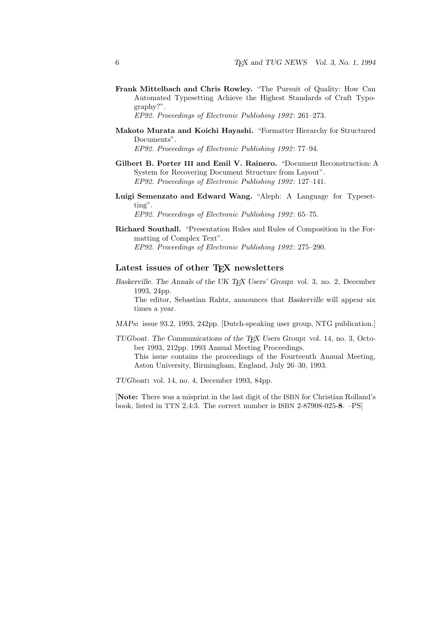Frank Mittelbach and Chris Rowley. "The Pursuit of Quality: How Can Automated Typesetting Achieve the Highest Standards of Craft Typography?".

EP92. Proceedings of Electronic Publishing 1992: 261–273.

Makoto Murata and Koichi Hayashi. "Formatter Hierarchy for Structured Documents".

EP92. Proceedings of Electronic Publishing 1992: 77-94.

- Gilbert B. Porter III and Emil V. Rainero. "Document Reconstruction: A System for Recovering Document Structure from Layout". EP92. Proceedings of Electronic Publishing 1992: 127-141.
- Luigi Semenzato and Edward Wang. "Aleph: A Language for Typesetting".

EP92. Proceedings of Electronic Publishing 1992 : 65–75.

Richard Southall. "Presentation Rules and Rules of Composition in the Formatting of Complex Text". EP92. Proceedings of Electronic Publishing 1992: 275–290.

### Latest issues of other TFX newsletters

Baskerville. The Annals of the UK T<sub>E</sub>X Users' Group: vol. 3, no. 2, December 1993, 24pp.

The editor, Sebastian Rahtz, announces that Baskerville will appear six times a year.

- MAPs: issue 93.2, 1993, 242pp. [Dutch-speaking user group, NTG publication.]
- TUGboat. The Communications of the TEX Users Group: vol. 14, no. 3, October 1993, 212pp. 1993 Annual Meeting Proceedings. This issue contains the proceedings of the Fourteenth Annual Meeting, Aston University, Birmingham, England, July 26–30, 1993.

TUGboat: vol. 14, no. 4, December 1993, 84pp.

[Note: There was a misprint in the last digit of the ISBN for Christian Rolland's book, listed in TTN 2,4:3. The correct number is ISBN 2-87908-025-8. –PS]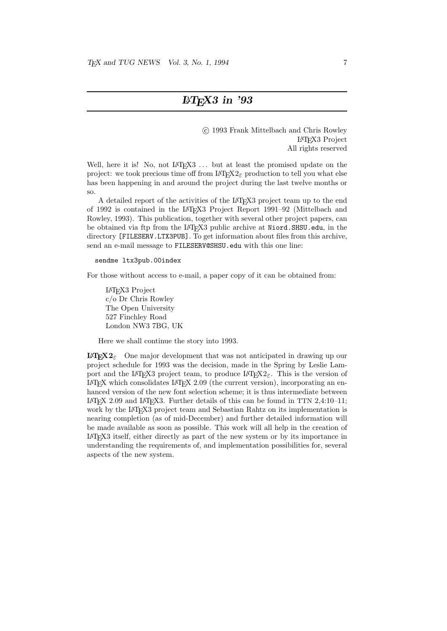c 1993 Frank Mittelbach and Chris Rowley LATEX3 Project All rights reserved

Well, here it is! No, not LAT<sub>EX3</sub> ... but at least the promised update on the project: we took precious time off from  $\text{L}^{\text{H}}\text{F}^{\text{H}}\text{F}^{\text{H}}\text{F}^{\text{H}}\text{F}^{\text{H}}$  production to tell you what else has been happening in and around the project during the last twelve months or so.

A detailed report of the activities of the LATEX3 project team up to the end of 1992 is contained in the LATEX3 Project Report 1991–92 (Mittelbach and Rowley, 1993). This publication, together with several other project papers, can be obtained via ftp from the LAT<sub>E</sub>X3 public archive at Niord.SHSU.edu, in the directory [FILESERV.LTX3PUB]. To get information about files from this archive, send an e-mail message to FILESERV@SHSU.edu with this one line:

### sendme ltx3pub.00index

For those without access to e-mail, a paper copy of it can be obtained from:

LATEX3 Project c/o Dr Chris Rowley The Open University 527 Finchley Road London NW3 7BG, UK

Here we shall continue the story into 1993.

**LATEX2** $\varepsilon$  One major development that was not anticipated in drawing up our project schedule for 1993 was the decision, made in the Spring by Leslie Lamport and the LAT<sub>EX3</sub> project team, to produce LAT<sub>EX2 $\varepsilon$ </sub>. This is the version of LAT<sub>EX</sub> which consolidates LAT<sub>EX</sub> 2.09 (the current version), incorporating an enhanced version of the new font selection scheme; it is thus intermediate between LATEX 2.09 and LATEX3. Further details of this can be found in TTN 2,4:10–11; work by the LAT<sub>EX3</sub> project team and Sebastian Rahtz on its implementation is nearing completion (as of mid-December) and further detailed information will be made available as soon as possible. This work will all help in the creation of LATEX3 itself, either directly as part of the new system or by its importance in understanding the requirements of, and implementation possibilities for, several aspects of the new system.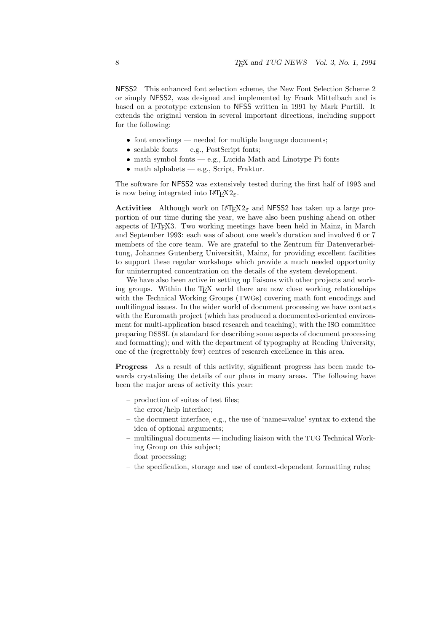NFSS2 This enhanced font selection scheme, the New Font Selection Scheme 2 or simply NFSS2, was designed and implemented by Frank Mittelbach and is based on a prototype extension to NFSS written in 1991 by Mark Purtill. It extends the original version in several important directions, including support for the following:

- font encodings needed for multiple language documents;
- scalable fonts e.g., PostScript fonts;
- math symbol fonts e.g., Lucida Math and Linotype Pi fonts
- math alphabets e.g., Script, Fraktur.

The software for NFSS2 was extensively tested during the first half of 1993 and is now being integrated into  $\text{LATEX2}_{\epsilon}$ .

**Activities** Although work on L<sup>AT</sup>EX<sub>2</sub> $\varepsilon$  and NFSS2 has taken up a large proportion of our time during the year, we have also been pushing ahead on other aspects of LATEX3. Two working meetings have been held in Mainz, in March and September 1993: each was of about one week's duration and involved 6 or 7 members of the core team. We are grateful to the Zentrum für Datenverarbeitung, Johannes Gutenberg Universität, Mainz, for providing excellent facilities to support these regular workshops which provide a much needed opportunity for uninterrupted concentration on the details of the system development.

We have also been active in setting up liaisons with other projects and working groups. Within the T<sub>E</sub>X world there are now close working relationships with the Technical Working Groups (TWGs) covering math font encodings and multilingual issues. In the wider world of document processing we have contacts with the Euromath project (which has produced a documented-oriented environment for multi-application based research and teaching); with the ISO committee preparing DSSSL (a standard for describing some aspects of document processing and formatting); and with the department of typography at Reading University, one of the (regrettably few) centres of research excellence in this area.

Progress As a result of this activity, significant progress has been made towards crystalising the details of our plans in many areas. The following have been the major areas of activity this year:

- production of suites of test files;
- the error/help interface;
- the document interface, e.g., the use of 'name=value' syntax to extend the idea of optional arguments;
- multilingual documents including liaison with the TUG Technical Working Group on this subject;
- float processing;
- the specification, storage and use of context-dependent formatting rules;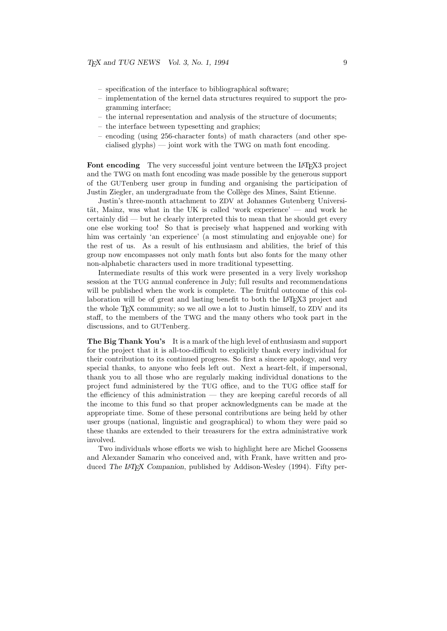- specification of the interface to bibliographical software;
- implementation of the kernel data structures required to support the programming interface;
- the internal representation and analysis of the structure of documents;
- the interface between typesetting and graphics;
- encoding (using 256-character fonts) of math characters (and other spe $cialised$  glyphs) — joint work with the TWG on math font encoding.

Font encoding The very successful joint venture between the LAT<sub>EX3</sub> project and the TWG on math font encoding was made possible by the generous support of the GUTenberg user group in funding and organising the participation of Justin Ziegler, an undergraduate from the Collège des Mines, Saint Etienne.

Justin's three-month attachment to ZDV at Johannes Gutenberg Universität, Mainz, was what in the UK is called 'work experience' — and work he certainly did — but he clearly interpreted this to mean that he should get every one else working too! So that is precisely what happened and working with him was certainly 'an experience' (a most stimulating and enjoyable one) for the rest of us. As a result of his enthusiasm and abilities, the brief of this group now encompasses not only math fonts but also fonts for the many other non-alphabetic characters used in more traditional typesetting.

Intermediate results of this work were presented in a very lively workshop session at the TUG annual conference in July; full results and recommendations will be published when the work is complete. The fruitful outcome of this collaboration will be of great and lasting benefit to both the LAT<sub>EX3</sub> project and the whole T<sub>EX</sub> community; so we all owe a lot to Justin himself, to ZDV and its staff, to the members of the TWG and the many others who took part in the discussions, and to GUTenberg.

The Big Thank You's It is a mark of the high level of enthusiasm and support for the project that it is all-too-difficult to explicitly thank every individual for their contribution to its continued progress. So first a sincere apology, and very special thanks, to anyone who feels left out. Next a heart-felt, if impersonal, thank you to all those who are regularly making individual donations to the project fund administered by the TUG office, and to the TUG office staff for the efficiency of this administration — they are keeping careful records of all the income to this fund so that proper acknowledgments can be made at the appropriate time. Some of these personal contributions are being held by other user groups (national, linguistic and geographical) to whom they were paid so these thanks are extended to their treasurers for the extra administrative work involved.

Two individuals whose efforts we wish to highlight here are Michel Goossens and Alexander Samarin who conceived and, with Frank, have written and produced The LATEX Companion, published by Addison-Wesley (1994). Fifty per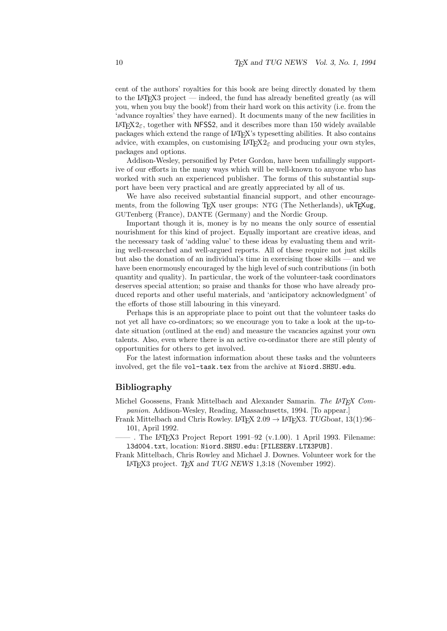cent of the authors' royalties for this book are being directly donated by them to the LAT<sub>EX3</sub> project — indeed, the fund has already benefited greatly (as will you, when you buy the book!) from their hard work on this activity (i.e. from the 'advance royalties' they have earned). It documents many of the new facilities in  $\text{LATEX2}_{\epsilon}$ , together with NFSS2, and it describes more than 150 widely available packages which extend the range of LATEX's typesetting abilities. It also contains advice, with examples, on customising  $\text{L}T\text{F}X2_{\varepsilon}$  and producing your own styles, packages and options.

Addison-Wesley, personified by Peter Gordon, have been unfailingly supportive of our efforts in the many ways which will be well-known to anyone who has worked with such an experienced publisher. The forms of this substantial support have been very practical and are greatly appreciated by all of us.

We have also received substantial financial support, and other encouragements, from the following T<sub>F</sub>X user groups: NTG (The Netherlands), ukT<sub>F</sub>Xug, GUTenberg (France), DANTE (Germany) and the Nordic Group.

Important though it is, money is by no means the only source of essential nourishment for this kind of project. Equally important are creative ideas, and the necessary task of 'adding value' to these ideas by evaluating them and writing well-researched and well-argued reports. All of these require not just skills but also the donation of an individual's time in exercising those skills — and we have been enormously encouraged by the high level of such contributions (in both quantity and quality). In particular, the work of the volunteer-task coordinators deserves special attention; so praise and thanks for those who have already produced reports and other useful materials, and 'anticipatory acknowledgment' of the efforts of those still labouring in this vineyard.

Perhaps this is an appropriate place to point out that the volunteer tasks do not yet all have co-ordinators; so we encourage you to take a look at the up-todate situation (outlined at the end) and measure the vacancies against your own talents. Also, even where there is an active co-ordinator there are still plenty of opportunities for others to get involved.

For the latest information information about these tasks and the volunteers involved, get the file vol-task.tex from the archive at Niord.SHSU.edu.

### Bibliography

Michel Goossens, Frank Mittelbach and Alexander Samarin. The IAT<sub>E</sub>X Companion. Addison-Wesley, Reading, Massachusetts, 1994. [To appear.]

Frank Mittelbach and Chris Rowley. LAT<sub>E</sub>X  $2.09 \rightarrow$  LAT<sub>E</sub>X3. TUGboat, 13(1):96– 101, April 1992.

 $-$ . The LAT<sub>F</sub>X3 Project Report 1991–92 (v.1.00). 1 April 1993. Filename: l3d004.txt, location: Niord.SHSU.edu:[FILESERV.LTX3PUB].

Frank Mittelbach, Chris Rowley and Michael J. Downes. Volunteer work for the LAT<sub>EX</sub>3 project. T<sub>EX</sub> and TUG NEWS 1,3:18 (November 1992).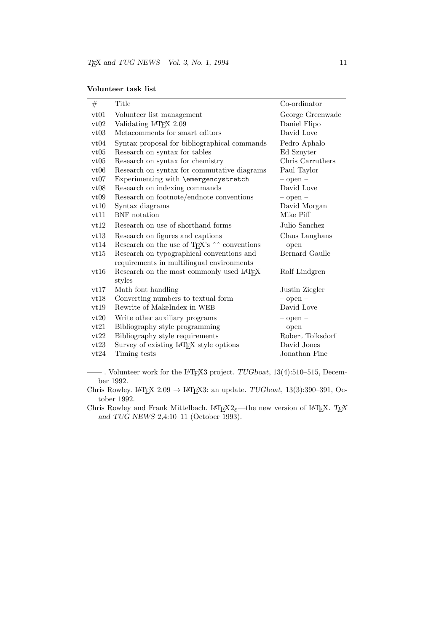| #    | Title                                                              | Co-ordinator     |
|------|--------------------------------------------------------------------|------------------|
| vt01 | Volunteer list management                                          | George Greenwade |
| vt02 | Validating LAT <sub>F</sub> X 2.09                                 | Daniel Flipo     |
| vt03 | Metacomments for smart editors                                     | David Love       |
| vt04 | Syntax proposal for bibliographical commands                       | Pedro Aphalo     |
| vt05 | Research on syntax for tables                                      | Ed Sznyter       |
| vt05 | Research on syntax for chemistry                                   | Chris Carruthers |
| vt06 | Research on syntax for commutative diagrams                        | Paul Taylor      |
| vt07 | Experimenting with \emergencystretch                               | $-$ open $-$     |
| vt08 | Research on indexing commands                                      | David Love       |
| vt09 | Research on footnote/endnote conventions                           | $-$ open $-$     |
| vt10 | Syntax diagrams                                                    | David Morgan     |
| vt11 | BNF notation                                                       | Mike Piff        |
| vt12 | Research on use of shorthand forms                                 | Julio Sanchez    |
| vt13 | Research on figures and captions                                   | Claus Langhans   |
| vt14 | Research on the use of T <sub>E</sub> X's $\sim$ conventions       | $-$ open $-$     |
| vt15 | Research on typographical conventions and                          | Bernard Gaulle   |
|      | requirements in multilingual environments                          |                  |
| vt16 | Research on the most commonly used L <sup>4</sup> T <sub>F</sub> X | Rolf Lindgren    |
|      | styles                                                             |                  |
| vt17 | Math font handling                                                 | Justin Ziegler   |
| vt18 | Converting numbers to textual form                                 | $-$ open $-$     |
| vt19 | Rewrite of MakeIndex in WEB                                        | David Love       |
| vt20 | Write other auxiliary programs                                     | $-$ open $-$     |
| vt21 | Bibliography style programming                                     | $-$ open $-$     |
| vt22 | Bibliography style requirements                                    | Robert Tolksdorf |
| vt23 | Survey of existing L <sup>4</sup> T <sub>E</sub> X style options   | David Jones      |
| vt24 | Timing tests                                                       | Jonathan Fine    |

—— . Volunteer work for the LATEX3 project. TUGboat, 13(4):510–515, December 1992.

Chris Rowley. LAT<sub>E</sub>X 2.09  $\rightarrow$  LAT<sub>E</sub>X3: an update. *TUGboat*, 13(3):390–391, October 1992.

Chris Rowley and Frank Mittelbach. LATEX $2\varepsilon$ —the new version of LATEX. TEX and TUG NEWS 2,4:10–11 (October 1993).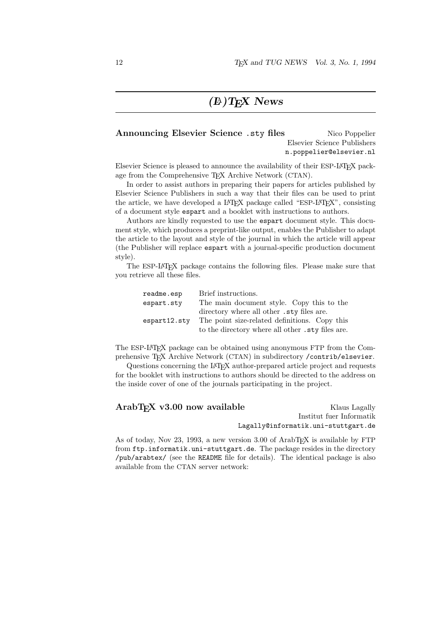## $(E)$ TEX News

### Announcing Elsevier Science .sty files Nico Poppelier Elsevier Science Publishers n.poppelier@elsevier.nl

Elsevier Science is pleased to announce the availability of their ESP-LATEX package from the Comprehensive T<sub>E</sub>X Archive Network (CTAN).

In order to assist authors in preparing their papers for articles published by Elsevier Science Publishers in such a way that their files can be used to print the article, we have developed a LAT<sub>EX</sub> package called "ESP-LAT<sub>EX</sub>", consisting of a document style espart and a booklet with instructions to authors.

Authors are kindly requested to use the espart document style. This document style, which produces a preprint-like output, enables the Publisher to adapt the article to the layout and style of the journal in which the article will appear (the Publisher will replace espart with a journal-specific production document style).

The ESP-LATEX package contains the following files. Please make sure that you retrieve all these files.

| readme.esp   | Brief instructions.                              |
|--------------|--------------------------------------------------|
| espart.sty   | The main document style. Copy this to the        |
|              | directory where all other .sty files are.        |
| espart12.stv | The point size-related definitions. Copy this    |
|              | to the directory where all other .sty files are. |

The ESP-LATEX package can be obtained using anonymous FTP from the Comprehensive TEX Archive Network (CTAN) in subdirectory /contrib/elsevier.

Questions concerning the LATEX author-prepared article project and requests for the booklet with instructions to authors should be directed to the address on the inside cover of one of the journals participating in the project.

| ArabT <sub>F</sub> X v3.00 now available                                                 | Klaus Lagally                       |
|------------------------------------------------------------------------------------------|-------------------------------------|
|                                                                                          | Institut fuer Informatik            |
|                                                                                          | Lagally@informatik.uni-stuttgart.de |
| As of today, Nov 23, 1993, a new version 3.00 of ArabT <sub>EX</sub> is available by FTP |                                     |

from ftp.informatik.uni-stuttgart.de. The package resides in the directory /pub/arabtex/ (see the README file for details). The identical package is also available from the CTAN server network: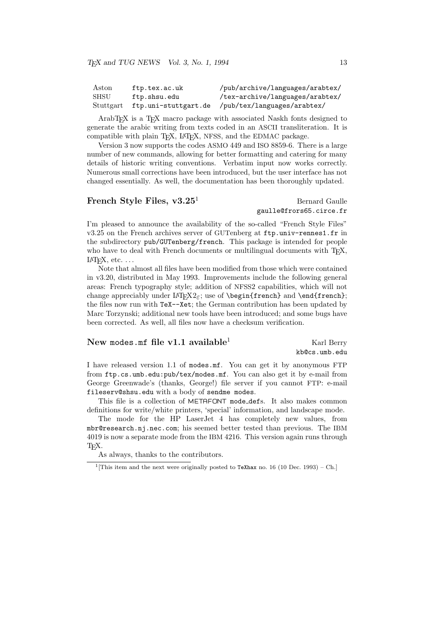| Aston | ftp.tex.ac.uk                  | /pub/archive/languages/arabtex/ |
|-------|--------------------------------|---------------------------------|
| SHSU  | ftp.shsu.edu                   | /tex-archive/languages/arabtex/ |
|       | Stuttgart ftp.uni-stuttgart.de | /pub/tex/languages/arabtex/     |

ArabTEX is a TEX macro package with associated Naskh fonts designed to generate the arabic writing from texts coded in an ASCII transliteration. It is compatible with plain T<sub>EX</sub>, L<sup>AT</sup>EX, NFSS, and the EDMAC package.

Version 3 now supports the codes ASMO 449 and ISO 8859-6. There is a large number of new commands, allowing for better formatting and catering for many details of historic writing conventions. Verbatim input now works correctly. Numerous small corrections have been introduced, but the user interface has not changed essentially. As well, the documentation has been thoroughly updated.

### French Style Files,  $v3.25<sup>1</sup>$  Bernard Gaulle

## gaulle@frors65.circe.fr

I'm pleased to announce the availability of the so-called "French Style Files" v3.25 on the French archives server of GUTenberg at ftp.univ-rennes1.fr in the subdirectory pub/GUTenberg/french. This package is intended for people who have to deal with French documents or multilingual documents with T<sub>E</sub>X,  $LAT$ <sub>EX</sub>, etc.  $\ldots$ 

Note that almost all files have been modified from those which were contained in v3.20, distributed in May 1993. Improvements include the following general areas: French typography style; addition of NFSS2 capabilities, which will not change appreciably under  $\text{H}\mathbb{R}X2_{\epsilon}$ ; use of \begin{french} and \end{french}; the files now run with TeX--Xet; the German contribution has been updated by Marc Torzynski; additional new tools have been introduced; and some bugs have been corrected. As well, all files now have a checksum verification.

### New modes.mf file v1.1 available<sup>1</sup> Karl Berry

## kb@cs.umb.edu

I have released version 1.1 of modes.mf. You can get it by anonymous FTP from ftp.cs.umb.edu:pub/tex/modes.mf. You can also get it by e-mail from George Greenwade's (thanks, George!) file server if you cannot FTP: e-mail fileserv@shsu.edu with a body of sendme modes.

This file is a collection of METAFONT mode defs. It also makes common definitions for write/white printers, 'special' information, and landscape mode.

The mode for the HP LaserJet 4 has completely new values, from mbr@research.nj.nec.com; his seemed better tested than previous. The IBM 4019 is now a separate mode from the IBM 4216. This version again runs through T<sub>F</sub>X.

As always, thanks to the contributors.

<sup>&</sup>lt;sup>1</sup> [This item and the next were originally posted to TeXhax no. 16 (10 Dec. 1993) – Ch.]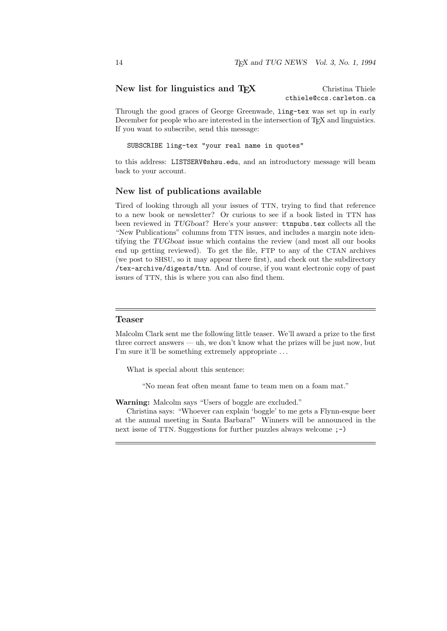### New list for linguistics and T<sub>E</sub>X Christina Thiele

cthiele@ccs.carleton.ca

Through the good graces of George Greenwade, ling-tex was set up in early December for people who are interested in the intersection of T<sub>E</sub>X and linguistics. If you want to subscribe, send this message:

SUBSCRIBE ling-tex "your real name in quotes"

to this address: LISTSERV@shsu.edu, and an introductory message will beam back to your account.

### New list of publications available

Tired of looking through all your issues of TTN, trying to find that reference to a new book or newsletter? Or curious to see if a book listed in TTN has been reviewed in TUGboat? Here's your answer: ttnpubs.tex collects all the "New Publications" columns from TTN issues, and includes a margin note identifying the TUGboat issue which contains the review (and most all our books end up getting reviewed). To get the file, FTP to any of the CTAN archives (we post to SHSU, so it may appear there first), and check out the subdirectory /tex-archive/digests/ttn. And of course, if you want electronic copy of past issues of TTN, this is where you can also find them.

### Teaser

Malcolm Clark sent me the following little teaser. We'll award a prize to the first three correct answers — uh, we don't know what the prizes will be just now, but I'm sure it'll be something extremely appropriate . . .

What is special about this sentence:

"No mean feat often meant fame to team men on a foam mat."

Warning: Malcolm says "Users of boggle are excluded."

Christina says: "Whoever can explain 'boggle' to me gets a Flynn-esque beer at the annual meeting in Santa Barbara!" Winners will be announced in the next issue of TTN. Suggestions for further puzzles always welcome ;-)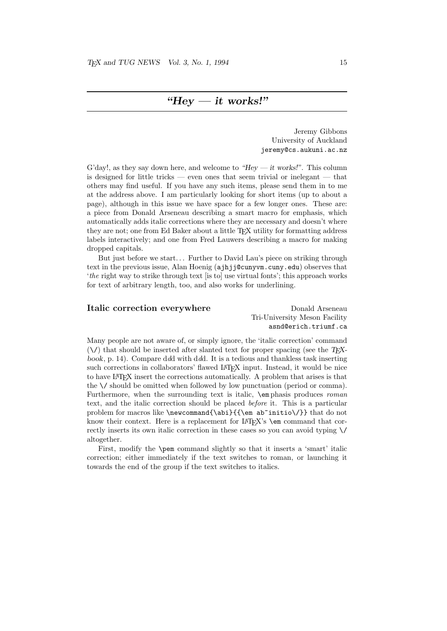### " $Hey - it$  works!"

Jeremy Gibbons University of Auckland jeremy@cs.aukuni.ac.nz

G'day!, as they say down here, and welcome to "Hey — it works!". This column is designed for little tricks — even ones that seem trivial or inelegant — that others may find useful. If you have any such items, please send them in to me at the address above. I am particularly looking for short items (up to about a page), although in this issue we have space for a few longer ones. These are: a piece from Donald Arseneau describing a smart macro for emphasis, which automatically adds italic corrections where they are necessary and doesn't where they are not; one from Ed Baker about a little TEX utility for formatting address labels interactively; and one from Fred Lauwers describing a macro for making dropped capitals.

But just before we start... Further to David Lau's piece on striking through text in the previous issue, Alan Hoenig (ajhjj@cunyvm.cuny.edu) observes that 'the right way to strike through text [is to] use virtual fonts'; this approach works for text of arbitrary length, too, and also works for underlining.

### Italic correction everywhere Donald Arseneau Tri-University Meson Facility asnd@erich.triumf.ca

Many people are not aware of, or simply ignore, the 'italic correction' command  $(\setminus)$  that should be inserted after slanted text for proper spacing (see the T<sub>E</sub>Xbook, p. 14). Compare ddd with ddd. It is a tedious and thankless task inserting such corrections in collaborators' flawed LATEX input. Instead, it would be nice to have LATEX insert the corrections automatically. A problem that arises is that the \/ should be omitted when followed by low punctuation (period or comma). Furthermore, when the surrounding text is italic,  $\epsilon$  phasis produces *roman* text, and the italic correction should be placed before it. This is a particular problem for macros like \newcommand{\abi}{{\em ab~initio\/}} that do not know their context. Here is a replacement for LATEX's **\em** command that correctly inserts its own italic correction in these cases so you can avoid typing \/ altogether.

First, modify the \pem command slightly so that it inserts a 'smart' italic correction; either immediately if the text switches to roman, or launching it towards the end of the group if the text switches to italics.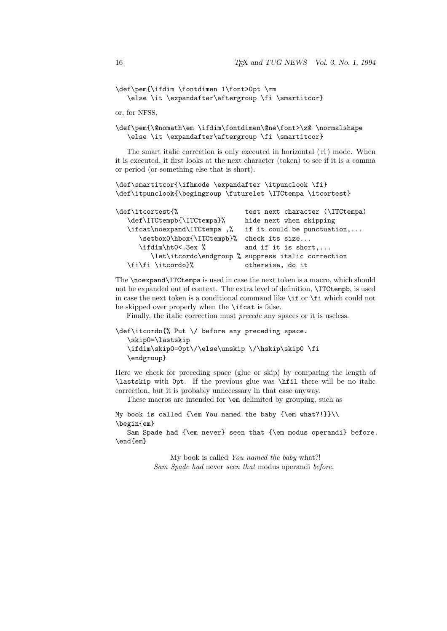```
\def\pem{\ifdim \fontdimen 1\font>0pt \rm
   \else \it \expandafter\aftergroup \fi \smartitcor}
```
or, for NFSS,

### \def\pem{\@nomath\em \ifdim\fontdimen\@ne\font>\z@ \normalshape \else \it \expandafter\aftergroup \fi \smartitcor}

The smart italic correction is only executed in horizontal ( rl ) mode. When it is executed, it first looks at the next character (token) to see if it is a comma or period (or something else that is short).

```
\def\smartitcor{\ifhmode \expandafter \itpunclook \fi}
\def\itpunclook{\begingroup \futurelet \ITCtempa \itcortest}
```

| \def\itcortest{%           | test next character (\ITCtempa)                    |
|----------------------------|----------------------------------------------------|
| \def\ITCtempb{\ITCtempa}%  | hide next when skipping                            |
| \ifcat\noexpand\ITCtempa,% | if it could be punctuation,                        |
| \setbox0\hbox{\ITCtempb}%  | check its size                                     |
| \ifdim\ht0<.3ex %          | and if it is short,                                |
|                            | \let\itcordo\endgroup % suppress italic correction |
| \fi\fi \itcordo}%          | otherwise, do it                                   |

The \noexpand\ITCtempa is used in case the next token is a macro, which should not be expanded out of context. The extra level of definition, \ITCtempb, is used in case the next token is a conditional command like \if or \fi which could not be skipped over properly when the \ifcat is false.

Finally, the italic correction must precede any spaces or it is useless.

```
\def\itcordo{% Put \/ before any preceding space.
   \skip0=\lastskip
   \ifdim\skip0=0pt\/\else\unskip \/\hskip\skip0 \fi
   \endgroup}
```
Here we check for preceding space (glue or skip) by comparing the length of \lastskip with 0pt. If the previous glue was \hfil there will be no italic correction, but it is probably unnecessary in that case anyway.

These macros are intended for \em delimited by grouping, such as

My book is called {\em You named the baby {\em what?!}}\\ \begin{em}

Sam Spade had {\em never} seen that {\em modus operandi} before. \end{em}

> My book is called You named the baby what?! Sam Spade had never seen that modus operandi before.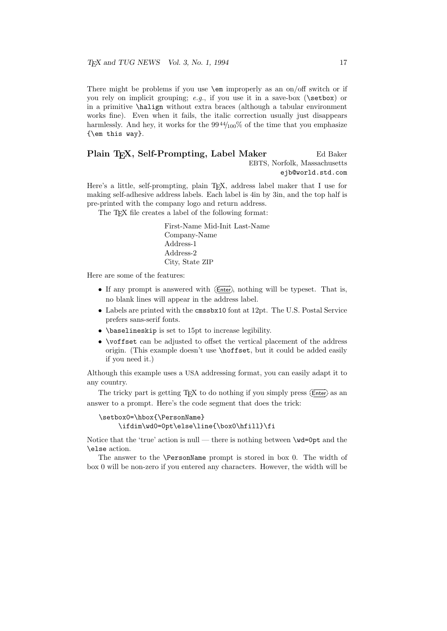There might be problems if you use \em improperly as an on/off switch or if you rely on implicit grouping; e.g., if you use it in a save-box ( $\setminus$ setbox) or in a primitive \halign without extra braces (although a tabular environment works fine). Even when it fails, the italic correction usually just disappears harmlessly. And hey, it works for the  $99\frac{44}{100\%}$  of the time that you emphasize {\em this way}.

### Plain T<sub>F</sub>X, Self-Prompting, Label Maker Ed Baker EBTS, Norfolk, Massachusetts ejb@world.std.com

Here's a little, self-prompting, plain T<sub>E</sub>X, address label maker that I use for making self-adhesive address labels. Each label is 4in by 3in, and the top half is pre-printed with the company logo and return address.

The T<sub>E</sub>X file creates a label of the following format:

First-Name Mid-Init Last-Name Company-Name Address-1 Address-2 City, State ZIP

Here are some of the features:

- If any prompt is answered with  $(Enter)$ , nothing will be typeset. That is, no blank lines will appear in the address label.
- Labels are printed with the cmssbx10 font at 12pt. The U.S. Postal Service prefers sans-serif fonts.
- \baselineskip is set to 15pt to increase legibility.
- **\voffset** can be adjusted to offset the vertical placement of the address origin. (This example doesn't use \hoffset, but it could be added easily if you need it.)

Although this example uses a USA addressing format, you can easily adapt it to any country.

The tricky part is getting T<sub>E</sub>X to do nothing if you simply press  $\overline{\text{Enter}}$  as an answer to a prompt. Here's the code segment that does the trick:

```
\setbox0=\hbox{\PersonName}
    \ifdim\wd0=0pt\else\line{\box0\hfill}\fi
```
Notice that the 'true' action is null — there is nothing between  $\wedge$  wd=0pt and the \else action.

The answer to the \PersonName prompt is stored in box 0. The width of box 0 will be non-zero if you entered any characters. However, the width will be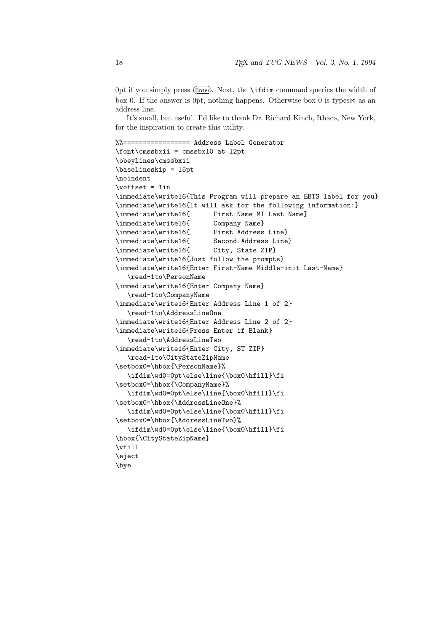Opt if you simply press ( $\overline{\text{Enter}}$ ). Next, the **\ifdim** command queries the width of box 0. If the answer is 0pt, nothing happens. Otherwise box 0 is typeset as an address line.

It's small, but useful. I'd like to thank Dr. Richard Kinch, Ithaca, New York, for the inspiration to create this utility.

```
%%================= Address Label Generator
\font\cmssbxii = cmssbx10 at 12pt
\obeylines\cmssbxii
\baselineskip = 15pt
\noindent
\sqrt{\text{voffset}} = 1in
\immediate\write16{This Program will prepare an EBTS label for you}
\immediate\write16{It will ask for the following information:}
\immediate\write16{ First-Name MI Last-Name}
\immediate\write16{ Company Name}
\immediate\write16{ First Address Line}
\immediate\write16{ Second Address Line}
\immediate\write16{ City, State ZIP}
\immediate\write16{Just follow the prompts}
\immediate\write16{Enter First-Name Middle-init Last-Name}
   \read-1to\PersonName
\immediate\write16{Enter Company Name}
   \read-1to\CompanyName
\immediate\write16{Enter Address Line 1 of 2}
   \read-1to\AddressLineOne
\immediate\write16{Enter Address Line 2 of 2}
\immediate\write16{Press Enter if Blank}
   \read-1to\AddressLineTwo
\immediate\write16{Enter City, ST ZIP}
   \read-1to\CityStateZipName
\setbox0=\hbox{\PersonName}%
   \ifdim\wd0=0pt\else\line{\box0\hfill}\fi
\setbox0=\hbox{\CompanyName}%
   \ifdim\wd0=0pt\else\line{\box0\hfill}\fi
\setbox0=\hbox{\AddressLineOne}%
   \ifdim\wd0=0pt\else\line{\box0\hfill}\fi
\setbox0=\hbox{\AddressLineTwo}%
   \ifdim\wd0=0pt\else\line{\box0\hfill}\fi
\hbox{\CityStateZipName}
\vfill
\eject
\bye
```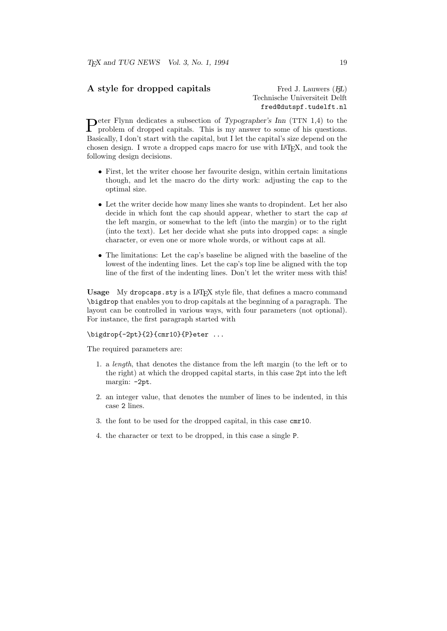### A style for dropped capitals Fred J. Lauwers (FL)

Technische Universiteit Delft fred@dutspf.tudelft.nl

Peter Flynn dedicates a subsection of Typographer's Inn (TTN 1,4) to the problem of dropped capitals. This is my answer to some of his questions. problem of dropped capitals. This is my answer to some of his questions. Basically, I don't start with the capital, but I let the capital's size depend on the chosen design. I wrote a dropped caps macro for use with IAT<sub>EX</sub>, and took the following design decisions.

- First, let the writer choose her favourite design, within certain limitations though, and let the macro do the dirty work: adjusting the cap to the optimal size.
- Let the writer decide how many lines she wants to dropindent. Let her also decide in which font the cap should appear, whether to start the cap at the left margin, or somewhat to the left (into the margin) or to the right (into the text). Let her decide what she puts into dropped caps: a single character, or even one or more whole words, or without caps at all.
- The limitations: Let the cap's baseline be aligned with the baseline of the lowest of the indenting lines. Let the cap's top line be aligned with the top line of the first of the indenting lines. Don't let the writer mess with this!

Usage My dropcaps.sty is a IAT<sub>EX</sub> style file, that defines a macro command \bigdrop that enables you to drop capitals at the beginning of a paragraph. The layout can be controlled in various ways, with four parameters (not optional). For instance, the first paragraph started with

\bigdrop{-2pt}{2}{cmr10}{P}eter ...

The required parameters are:

- 1. a length, that denotes the distance from the left margin (to the left or to the right) at which the dropped capital starts, in this case 2pt into the left margin: -2pt.
- 2. an integer value, that denotes the number of lines to be indented, in this case 2 lines.
- 3. the font to be used for the dropped capital, in this case cmr10.
- 4. the character or text to be dropped, in this case a single P.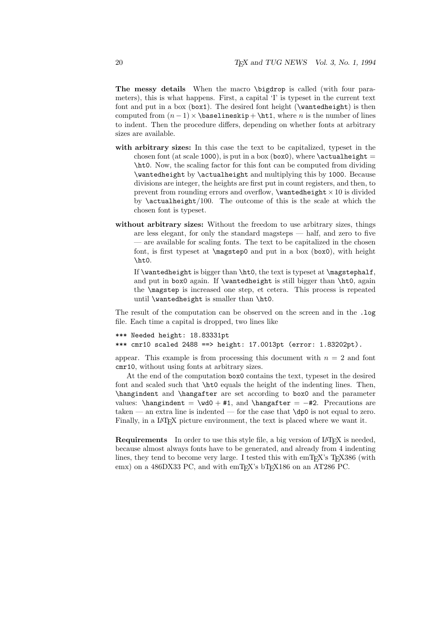The messy details When the macro \bigdrop is called (with four parameters), this is what happens. First, a capital 'I' is typeset in the current text font and put in a box (box1). The desired font height (\wantedheight) is then computed from  $(n-1) \times \b{baselineskip + \hbar1, where n is the number of lines}$ to indent. Then the procedure differs, depending on whether fonts at arbitrary sizes are available.

- with arbitrary sizes: In this case the text to be capitalized, typeset in the chosen font (at scale 1000), is put in a box (box0), where  $\ \ \$ \ht0. Now, the scaling factor for this font can be computed from dividing \wantedheight by \actualheight and multiplying this by 1000. Because divisions are integer, the heights are first put in count registers, and then, to prevent from rounding errors and overflow,  $\wedge$  antedheight  $\times$  10 is divided by \actualheight/100. The outcome of this is the scale at which the chosen font is typeset.
- without arbitrary sizes: Without the freedom to use arbitrary sizes, things are less elegant, for only the standard magsteps — half, and zero to five — are available for scaling fonts. The text to be capitalized in the chosen font, is first typeset at \magstep0 and put in a box (box0), with height \ht0.

If  $\wedge$  is bigger than  $\ht0$ , the text is typeset at  $\mag$ stephalf, and put in box0 again. If \wantedheight is still bigger than \ht0, again the \magstep is increased one step, et cetera. This process is repeated until \wantedheight is smaller than \ht0.

The result of the computation can be observed on the screen and in the .log file. Each time a capital is dropped, two lines like

```
*** Needed height: 18.83331pt
*** cmr10 scaled 2488 ==> height: 17.0013pt (error: 1.83202pt).
```
appear. This example is from processing this document with  $n = 2$  and font cmr10, without using fonts at arbitrary sizes.

At the end of the computation box0 contains the text, typeset in the desired font and scaled such that \ht0 equals the height of the indenting lines. Then, \hangindent and \hangafter are set according to box0 and the parameter values:  $\hbox{hangindent} = \wbox{40 + #1, and \hbox{hangafter} = -#2. Precautions are}$ taken — an extra line is indented — for the case that \dp0 is not equal to zero. Finally, in a LAT<sub>EX</sub> picture environment, the text is placed where we want it.

Requirements In order to use this style file, a big version of LAT<sub>E</sub>X is needed, because almost always fonts have to be generated, and already from 4 indenting lines, they tend to become very large. I tested this with emT<sub>E</sub>X's  $T<sub>F</sub>X386$  (with emx) on a 486DX33 PC, and with emT<sub>E</sub>X's bT<sub>E</sub>X186 on an AT286 PC.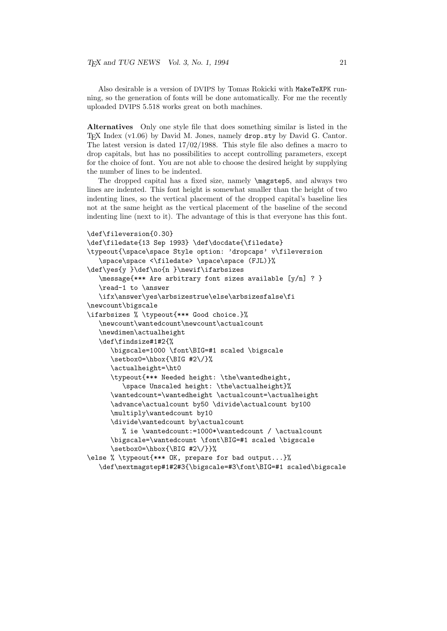Also desirable is a version of DVIPS by Tomas Rokicki with MakeTeXPK running, so the generation of fonts will be done automatically. For me the recently uploaded DVIPS 5.518 works great on both machines.

Alternatives Only one style file that does something similar is listed in the T<sub>EX</sub> Index (v1.06) by David M. Jones, namely drop.sty by David G. Cantor. The latest version is dated 17/02/1988. This style file also defines a macro to drop capitals, but has no possibilities to accept controlling parameters, except for the choice of font. You are not able to choose the desired height by supplying the number of lines to be indented.

The dropped capital has a fixed size, namely \magstep5, and always two lines are indented. This font height is somewhat smaller than the height of two indenting lines, so the vertical placement of the dropped capital's baseline lies not at the same height as the vertical placement of the baseline of the second indenting line (next to it). The advantage of this is that everyone has this font.

```
\def\fileversion{0.30}
\def\filedate{13 Sep 1993} \def\docdate{\filedate}
\typeout{\space\space Style option: 'dropcaps' v\fileversion
   \space\space <\filedate> \space\space (FJL)}%
\def\yes{y }\def\no{n }\newif\ifarbsizes
   \message{*** Are arbitrary font sizes available [y/n] ? }
   \read-1 to \answer
   \ifx\answer\yes\arbsizestrue\else\arbsizesfalse\fi
\newcount\bigscale
\ifarbsizes % \typeout{*** Good choice.}%
   \newcount\wantedcount\newcount\actualcount
   \newdimen\actualheight
   \def\findsize#1#2{%
      \bigscale=1000 \font\BIG=#1 scaled \bigscale
      \setbox0=\hbox{\BIG #2\/}%
      \actualheight=\ht0
      \typeout{*** Needed height: \the\wantedheight,
         \space Unscaled height: \the\actualheight}%
      \wantedcount=\wantedheight \actualcount=\actualheight
      \advance\actualcount by50 \divide\actualcount by100
      \multiply\wantedcount by10
      \divide\wantedcount by\actualcount
         % ie \wantedcount:=1000*\wantedcount / \actualcount
      \bigscale=\wantedcount \font\BIG=#1 scaled \bigscale
      \setbox0=\hbox{\BIG #2\/}}%
\else % \typeout{*** OK, prepare for bad output...}%
   \def\nextmagstep#1#2#3{\bigscale=#3\font\BIG=#1 scaled\bigscale
```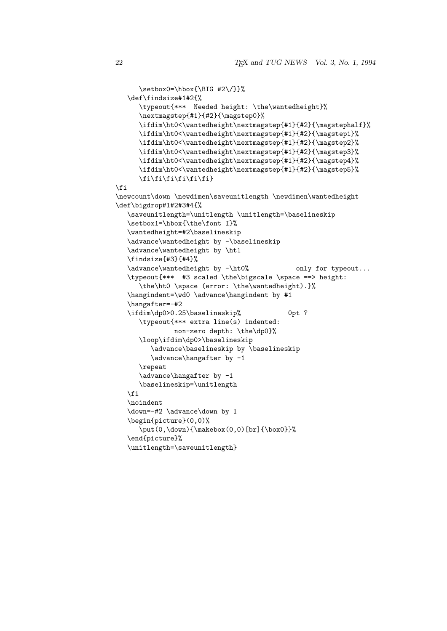```
\setminussetbox0=\hbox{hbox}{\BIG #2\/}}%
   \def\findsize#1#2{%
      \typeout{*** Needed height: \the\wantedheight}%
      \nextmagstep{#1}{#2}{\magstep0}%
      \ifdim\ht0<\wantedheight\nextmagstep{#1}{#2}{\magstephalf}%
      \ifdim\ht0<\wantedheight\nextmagstep{#1}{#2}{\magstep1}%
      \ifdim\ht0<\wantedheight\nextmagstep{#1}{#2}{\magstep2}%
      \ifdim\ht0<\wantedheight\nextmagstep{#1}{#2}{\magstep3}%
      \ifdim\ht0<\wantedheight\nextmagstep{#1}{#2}{\magstep4}%
      \ifdim\ht0<\wantedheight\nextmagstep{#1}{#2}{\magstep5}%
      \fi\fi\fi\fi\fi\fi}
\fi
\newcount\down \newdimen\saveunitlength \newdimen\wantedheight
\def\bigdrop#1#2#3#4{%
   \saveunitlength=\unitlength \unitlength=\baselineskip
   \setbox1=\hbox{\the\font I}%
   \wantedheight=#2\baselineskip
   \advance\wantedheight by -\baselineskip
   \advance\wantedheight by \ht1
   \findsize{#3}{#4}%
   \advance\wantedheight by -\ht0% only for typeout...
   \typeout{*** #3 scaled \the\bigscale \space ==> height:
      \the\ht0 \space (error: \the\wantedheight).}%
   \hangindent=\wd0 \advance\hangindent by #1
   \hangafter=-#2
   \ifdim\dp0>0.25\baselineskip% 0pt ?
      \typeout{*** extra line(s) indented:
              non-zero depth: \the\dp0}%
      \loop\ifdim\dp0>\baselineskip
         \advance\baselineskip by \baselineskip
         \advance\hangafter by -1
      \repeat
      \advance\hangafter by -1
      \baselineskip=\unitlength
   \fi
   \noindent
   \down=-#2 \advance\down by 1
   \begin{picture}(0,0)%
      \put(0,\down){\makebox(0,0)[br]{\box0}}%
   \end{picture}%
```
\unitlength=\saveunitlength}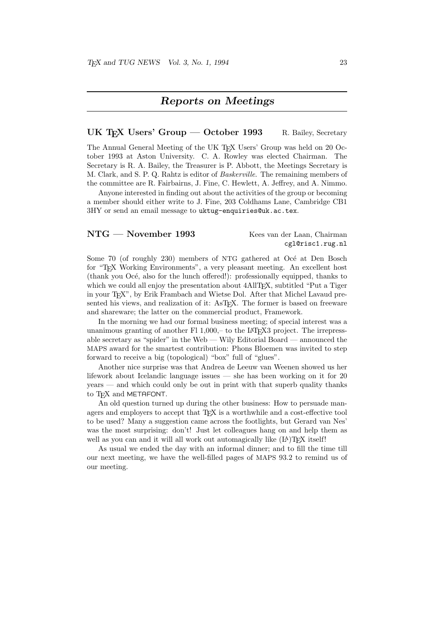### Reports on Meetings

### UK T<sub>E</sub>X Users' Group — October 1993 R. Bailey, Secretary

The Annual General Meeting of the UK T<sub>EX</sub> Users' Group was held on 20 October 1993 at Aston University. C. A. Rowley was elected Chairman. The Secretary is R. A. Bailey, the Treasurer is P. Abbott, the Meetings Secretary is M. Clark, and S. P. Q. Rahtz is editor of Baskerville. The remaining members of the committee are R. Fairbairns, J. Fine, C. Hewlett, A. Jeffrey, and A. Nimmo.

Anyone interested in finding out about the activities of the group or becoming a member should either write to J. Fine, 203 Coldhams Lane, Cambridge CB1 3HY or send an email message to uktug-enquiries@uk.ac.tex.

### NTG — November 1993 Kees van der Laan, Chairman

cgl@risc1.rug.nl

Some 70 (of roughly 230) members of NTG gathered at Océ at Den Bosch for "TEX Working Environments", a very pleasant meeting. An excellent host (thank you Océ, also for the lunch offered!): professionally equipped, thanks to which we could all enjoy the presentation about  $4\text{AlTr}X$ , subtitled "Put a Tiger" in your T<sub>F</sub>X", by Erik Frambach and Wietse Dol. After that Michel Lavaud presented his views, and realization of it: AsTEX. The former is based on freeware and shareware; the latter on the commercial product, Framework.

In the morning we had our formal business meeting; of special interest was a unanimous granting of another Fl 1,000,– to the LATEX3 project. The irrepressable secretary as "spider" in the Web — Wily Editorial Board — announced the MAPS award for the smartest contribution: Phons Bloemen was invited to step forward to receive a big (topological) "box" full of "glues".

Another nice surprise was that Andrea de Leeuw van Weenen showed us her lifework about Icelandic language issues — she has been working on it for 20 years — and which could only be out in print with that superb quality thanks to T<sub>F</sub>X and METAFONT.

An old question turned up during the other business: How to persuade managers and employers to accept that TEX is a worthwhile and a cost-effective tool to be used? Many a suggestion came across the footlights, but Gerard van Nes' was the most surprising: don't! Just let colleagues hang on and help them as well as you can and it will all work out automagically like  $(L<sup>A</sup>)$ T<sub>EX</sub> itself!

As usual we ended the day with an informal dinner; and to fill the time till our next meeting, we have the well-filled pages of MAPS 93.2 to remind us of our meeting.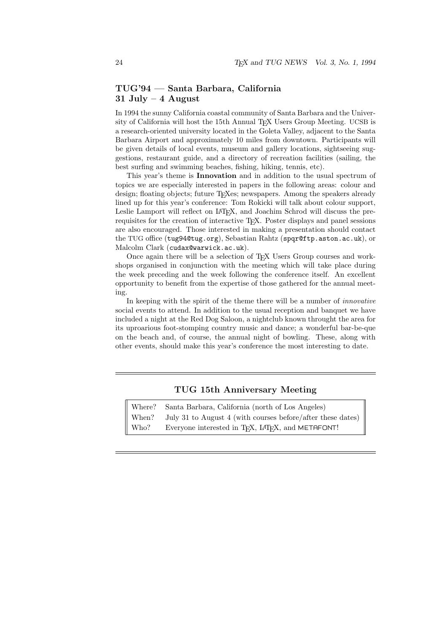### TUG'94 — Santa Barbara, California 31 July  $-4$  August

In 1994 the sunny California coastal community of Santa Barbara and the University of California will host the 15th Annual T<sub>EX</sub> Users Group Meeting. UCSB is a research-oriented university located in the Goleta Valley, adjacent to the Santa Barbara Airport and approximately 10 miles from downtown. Participants will be given details of local events, museum and gallery locations, sightseeing suggestions, restaurant guide, and a directory of recreation facilities (sailing, the best surfing and swimming beaches, fishing, hiking, tennis, etc).

This year's theme is Innovation and in addition to the usual spectrum of topics we are especially interested in papers in the following areas: colour and design; floating objects; future T<sub>E</sub>Xes; newspapers. Among the speakers already lined up for this year's conference: Tom Rokicki will talk about colour support, Leslie Lamport will reflect on L<sup>AT</sup>EX, and Joachim Schrod will discuss the prerequisites for the creation of interactive TEX. Poster displays and panel sessions are also encouraged. Those interested in making a presentation should contact the TUG office (tug94@tug.org), Sebastian Rahtz (spqr@ftp.aston.ac.uk), or Malcolm Clark (cudax@warwick.ac.uk).

Once again there will be a selection of T<sub>E</sub>X Users Group courses and workshops organised in conjunction with the meeting which will take place during the week preceding and the week following the conference itself. An excellent opportunity to benefit from the expertise of those gathered for the annual meeting.

In keeping with the spirit of the theme there will be a number of *innovative* social events to attend. In addition to the usual reception and banquet we have included a night at the Red Dog Saloon, a nightclub known throught the area for its uproarious foot-stomping country music and dance; a wonderful bar-be-que on the beach and, of course, the annual night of bowling. These, along with other events, should make this year's conference the most interesting to date.

### TUG 15th Anniversary Meeting

Where? Santa Barbara, California (north of Los Angeles) When? July 31 to August 4 (with courses before/after these dates) Who? Everyone interested in T<sub>F</sub>X, L<sup>AT</sup>F<sub>N</sub>, and METAFONT!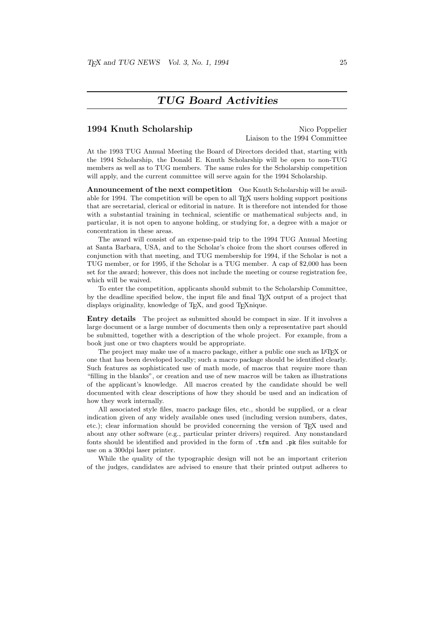### TUG Board Activities

### 1994 Knuth Scholarship Nico Poppelier

Liaison to the 1994 Committee

At the 1993 TUG Annual Meeting the Board of Directors decided that, starting with the 1994 Scholarship, the Donald E. Knuth Scholarship will be open to non-TUG members as well as to TUG members. The same rules for the Scholarship competition will apply, and the current committee will serve again for the 1994 Scholarship.

Announcement of the next competition One Knuth Scholarship will be available for 1994. The competition will be open to all TEX users holding support positions that are secretarial, clerical or editorial in nature. It is therefore not intended for those with a substantial training in technical, scientific or mathematical subjects and, in particular, it is not open to anyone holding, or studying for, a degree with a major or concentration in these areas.

The award will consist of an expense-paid trip to the 1994 TUG Annual Meeting at Santa Barbara, USA, and to the Scholar's choice from the short courses offered in conjunction with that meeting, and TUG membership for 1994, if the Scholar is not a TUG member, or for 1995, if the Scholar is a TUG member. A cap of \$2,000 has been set for the award; however, this does not include the meeting or course registration fee, which will be waived.

To enter the competition, applicants should submit to the Scholarship Committee, by the deadline specified below, the input file and final TEX output of a project that displays originality, knowledge of TEX, and good TEXnique.

Entry details The project as submitted should be compact in size. If it involves a large document or a large number of documents then only a representative part should be submitted, together with a description of the whole project. For example, from a book just one or two chapters would be appropriate.

The project may make use of a macro package, either a public one such as L<sup>AT</sup>EX or one that has been developed locally; such a macro package should be identified clearly. Such features as sophisticated use of math mode, of macros that require more than "filling in the blanks", or creation and use of new macros will be taken as illustrations of the applicant's knowledge. All macros created by the candidate should be well documented with clear descriptions of how they should be used and an indication of how they work internally.

All associated style files, macro package files, etc., should be supplied, or a clear indication given of any widely available ones used (including version numbers, dates, etc.); clear information should be provided concerning the version of TEX used and about any other software (e.g., particular printer drivers) required. Any nonstandard fonts should be identified and provided in the form of .tfm and .pk files suitable for use on a 300dpi laser printer.

While the quality of the typographic design will not be an important criterion of the judges, candidates are advised to ensure that their printed output adheres to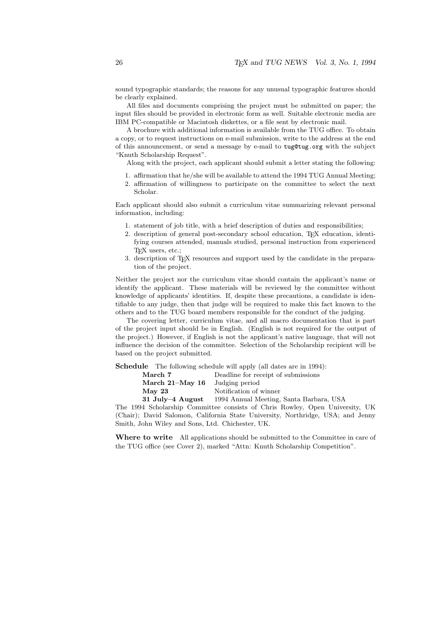sound typographic standards; the reasons for any unusual typographic features should be clearly explained.

All files and documents comprising the project must be submitted on paper; the input files should be provided in electronic form as well. Suitable electronic media are IBM PC-compatible or Macintosh diskettes, or a file sent by electronic mail.

A brochure with additional information is available from the TUG office. To obtain a copy, or to request instructions on e-mail submission, write to the address at the end of this announcement, or send a message by e-mail to tug@tug.org with the subject "Knuth Scholarship Request".

Along with the project, each applicant should submit a letter stating the following:

- 1. affirmation that he/she will be available to attend the 1994 TUG Annual Meeting;
- 2. affirmation of willingness to participate on the committee to select the next Scholar.

Each applicant should also submit a curriculum vitae summarizing relevant personal information, including:

- 1. statement of job title, with a brief description of duties and responsibilities;
- 2. description of general post-secondary school education, TEX education, identifying courses attended, manuals studied, personal instruction from experienced TEX users, etc.;
- 3. description of TEX resources and support used by the candidate in the preparation of the project.

Neither the project nor the curriculum vitae should contain the applicant's name or identify the applicant. These materials will be reviewed by the committee without knowledge of applicants' identities. If, despite these precautions, a candidate is identifiable to any judge, then that judge will be required to make this fact known to the others and to the TUG board members responsible for the conduct of the judging.

The covering letter, curriculum vitae, and all macro documentation that is part of the project input should be in English. (English is not required for the output of the project.) However, if English is not the applicant's native language, that will not influence the decision of the committee. Selection of the Scholarship recipient will be based on the project submitted.

Schedule The following schedule will apply (all dates are in 1994):

| Deadline for receipt of submissions     |
|-----------------------------------------|
| Judging period                          |
| Notification of winner                  |
| 1994 Annual Meeting, Santa Barbara, USA |
|                                         |

The 1994 Scholarship Committee consists of Chris Rowley, Open University, UK (Chair); David Salomon, California State University, Northridge, USA; and Jenny Smith, John Wiley and Sons, Ltd. Chichester, UK.

Where to write All applications should be submitted to the Committee in care of the TUG office (see Cover 2), marked "Attn: Knuth Scholarship Competition".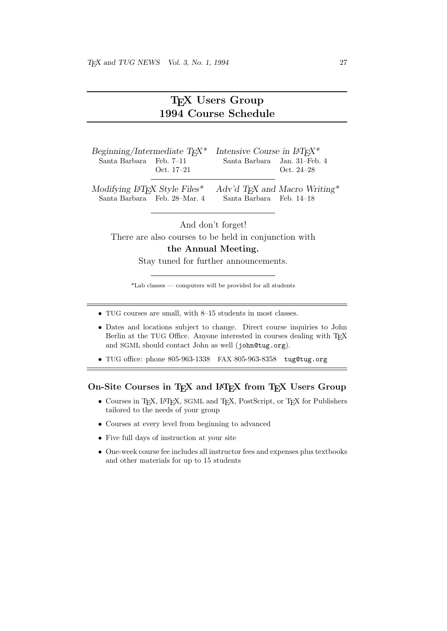## T<sub>F</sub>X Users Group 1994 Course Schedule

| Beginning/Intermediate $T_F X^*$                          |                              | Intensive Course in $LAT_FX^*$                        |                                           |
|-----------------------------------------------------------|------------------------------|-------------------------------------------------------|-------------------------------------------|
| Santa Barbara Feb. 7-11                                   | Oct. $17-21$                 | Santa Barbara Jan. 31-Feb. 4                          | Oct. $24-28$                              |
| Modifying $\mu$ T <sub>F</sub> X Style Files <sup>*</sup> | Santa Barbara Feb. 28-Mar. 4 | Santa Barbara Feb. 14–18                              | Adv'd T <sub>F</sub> X and Macro Writing* |
|                                                           | And don't forget!            | There are also courses to be held in conjunction with |                                           |
|                                                           |                              | the Annual Meeting.                                   |                                           |

Stay tuned for further announcements.

\*Lab classes — computers will be provided for all students

- TUG courses are small, with 8–15 students in most classes.
- Dates and locations subject to change. Direct course inquiries to John Berlin at the TUG Office. Anyone interested in courses dealing with T<sub>E</sub>X and SGML should contact John as well (john@tug.org).
- TUG office: phone 805-963-1338 FAX 805-963-8358 tug@tug.org

### On-Site Courses in TEX and LATEX from TEX Users Group

- Courses in TEX, LATEX, SGML and TEX, PostScript, or TEX for Publishers tailored to the needs of your group
- Courses at every level from beginning to advanced
- Five full days of instruction at your site
- One-week course fee includes all instructor fees and expenses plus textbooks and other materials for up to 15 students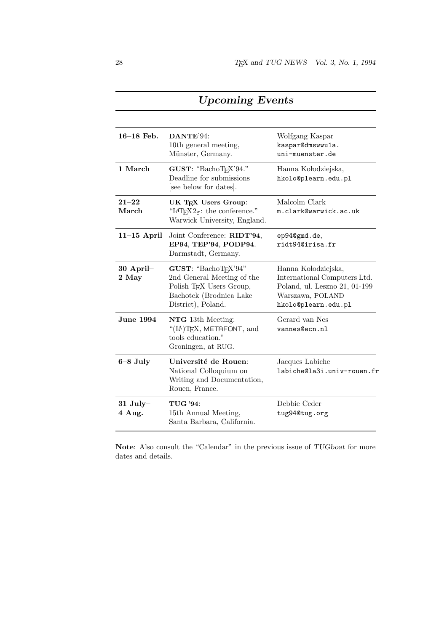| $16-18$ Feb.         | $\mathbf{D}\mathbf{A}\mathbf{N}\mathbf{T}\mathbf{E}^{\prime}\mathbf{94}$<br>10th general meeting,<br>Münster, Germany.                | Wolfgang Kaspar<br>kaspar@dmswwu1a.<br>uni-muenster.de                                                                          |
|----------------------|---------------------------------------------------------------------------------------------------------------------------------------|---------------------------------------------------------------------------------------------------------------------------------|
| 1 March              | GUST: "BachoTFX'94."<br>Deadline for submissions<br>[see below for dates].                                                            | Hanna Kołodziejska,<br>hkolo@plearn.edu.pl                                                                                      |
| $21 - 22$<br>March   | UK TEX Users Group:<br>"L <sup>4</sup> T <sub>E</sub> X <sub>2</sub> $\varepsilon$ : the conference."<br>Warwick University, England. | Malcolm Clark<br>m.clark@warwick.ac.uk                                                                                          |
| $11-15$ April        | Joint Conference: RIDT'94,<br>EP94, TEP'94, PODP94.<br>Darmstadt, Germany.                                                            | ep940gmd.de,<br>ridt94@irisa.fr                                                                                                 |
| $30$ April-<br>2 May | GUST: "BachoTEX'94"<br>2nd General Meeting of the<br>Polish TFX Users Group,<br>Bachotek (Brodnica Lake<br>District), Poland.         | Hanna Kołodziejska,<br>International Computers Ltd.<br>Poland, ul. Leszno 21, 01-199<br>Warszawa, POLAND<br>hkolo@plearn.edu.pl |
| <b>June 1994</b>     | NTG 13th Meeting:<br>"(IA)T <sub>F</sub> X, METAFONT, and<br>tools education."<br>Groningen, at RUG.                                  | Gerard van Nes<br>vannes@ecn.nl                                                                                                 |
| $6 - 8$ July         | Université de Rouen:<br>National Colloquium on<br>Writing and Documentation,<br>Rouen, France.                                        | Jacques Labiche<br>labiche@la3i.univ-rouen.fr                                                                                   |
| $31$ July-<br>4 Aug. | <b>TUG '94:</b><br>15th Annual Meeting,<br>Santa Barbara, California.                                                                 | Debbie Ceder<br>tug94@tug.org                                                                                                   |

## Upcoming Events

Note: Also consult the "Calendar" in the previous issue of TUGboat for more dates and details.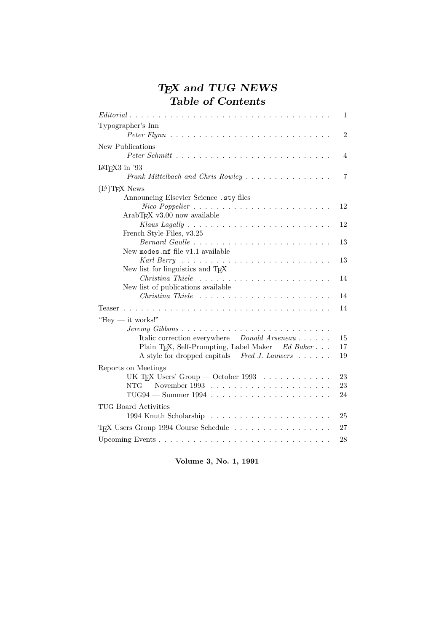## TEX and TUG NEWS Table of Contents

| $Editorial \dots \dots \dots \dots \dots \dots \dots \dots \dots \dots \dots \dots \dots \dots \dots \dots$ | 1              |
|-------------------------------------------------------------------------------------------------------------|----------------|
| Typographer's Inn                                                                                           |                |
|                                                                                                             | $\overline{2}$ |
| New Publications                                                                                            |                |
|                                                                                                             | 4              |
| $IAT$ <sub>F</sub> $X3$ in '93                                                                              |                |
| Frank Mittelbach and Chris Rowley $\ldots \ldots \ldots \ldots \ldots$                                      | 7              |
| $(LA)$ <sub>TF</sub> X News                                                                                 |                |
| Announcing Elsevier Science .sty files                                                                      |                |
|                                                                                                             | 12             |
| ArabTFX v3.00 now available                                                                                 |                |
|                                                                                                             | 12             |
| French Style Files, v3.25                                                                                   |                |
| New modes.mf file v1.1 available                                                                            | 13             |
| Karl Berry $\ldots \ldots \ldots \ldots \ldots \ldots \ldots \ldots \ldots$                                 | 13             |
| New list for linguistics and T <sub>F</sub> X                                                               |                |
|                                                                                                             | 14             |
| New list of publications available                                                                          |                |
|                                                                                                             | 14             |
| Teaser                                                                                                      | 14             |
| "Hey $-$ it works!"                                                                                         |                |
|                                                                                                             |                |
| Italic correction everywhere Donald Arseneau                                                                | 15             |
| Plain TFX, Self-Prompting, Label Maker Ed Baker                                                             | 17             |
| A style for dropped capitals Fred J. Lauwers $\dots \dots$                                                  | 19             |
| Reports on Meetings                                                                                         |                |
| UK T <sub>E</sub> X Users' Group — October 1993 $\ldots \ldots \ldots \ldots$                               | 23             |
| NTG — November 1993 $\ldots \ldots \ldots \ldots \ldots \ldots \ldots$                                      | $23\,$         |
|                                                                                                             | 24             |
| <b>TUG Board Activities</b>                                                                                 |                |
|                                                                                                             | 25             |
| T <sub>F</sub> X Users Group 1994 Course Schedule                                                           | 27             |
|                                                                                                             | 28             |
|                                                                                                             |                |

Volume 3, No. 1, 1991